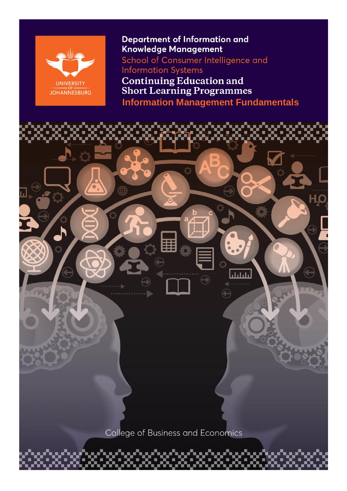

## **Department of Information and** Knowledge Management

School of Consumer Intelligence and **Information Systems** 

**Continuing Education and<br>Short Learning Programmes Information Management Fundamentals**

بليليا College of Business and Economics